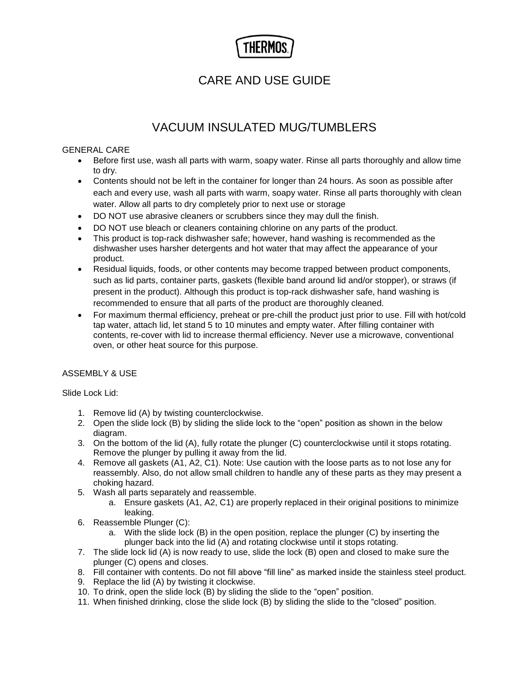# CARE AND USE GUIDE

# VACUUM INSULATED MUG/TUMBLERS

## GENERAL CARE

- Before first use, wash all parts with warm, soapy water. Rinse all parts thoroughly and allow time to dry.
- Contents should not be left in the container for longer than 24 hours. As soon as possible after each and every use, wash all parts with warm, soapy water. Rinse all parts thoroughly with clean water. Allow all parts to dry completely prior to next use or storage
- DO NOT use abrasive cleaners or scrubbers since they may dull the finish.
- DO NOT use bleach or cleaners containing chlorine on any parts of the product.
- This product is top-rack dishwasher safe; however, hand washing is recommended as the dishwasher uses harsher detergents and hot water that may affect the appearance of your product.
- Residual liquids, foods, or other contents may become trapped between product components, such as lid parts, container parts, gaskets (flexible band around lid and/or stopper), or straws (if present in the product). Although this product is top-rack dishwasher safe, hand washing is recommended to ensure that all parts of the product are thoroughly cleaned.
- For maximum thermal efficiency, preheat or pre-chill the product just prior to use. Fill with hot/cold tap water, attach lid, let stand 5 to 10 minutes and empty water. After filling container with contents, re-cover with lid to increase thermal efficiency. Never use a microwave, conventional oven, or other heat source for this purpose.

# ASSEMBLY & USE

## Slide Lock Lid:

- 1. Remove lid (A) by twisting counterclockwise.
- 2. Open the slide lock (B) by sliding the slide lock to the "open" position as shown in the below diagram.
- 3. On the bottom of the lid (A), fully rotate the plunger (C) counterclockwise until it stops rotating. Remove the plunger by pulling it away from the lid.
- 4. Remove all gaskets (A1, A2, C1). Note: Use caution with the loose parts as to not lose any for reassembly. Also, do not allow small children to handle any of these parts as they may present a choking hazard.
- 5. Wash all parts separately and reassemble.
	- a. Ensure gaskets (A1, A2, C1) are properly replaced in their original positions to minimize leaking.
- 6. Reassemble Plunger (C):
	- a. With the slide lock (B) in the open position, replace the plunger (C) by inserting the plunger back into the lid (A) and rotating clockwise until it stops rotating.
- 7. The slide lock lid (A) is now ready to use, slide the lock (B) open and closed to make sure the plunger (C) opens and closes.
- 8. Fill container with contents. Do not fill above "fill line" as marked inside the stainless steel product.
- 9. Replace the lid (A) by twisting it clockwise.
- 10. To drink, open the slide lock (B) by sliding the slide to the "open" position.
- 11. When finished drinking, close the slide lock (B) by sliding the slide to the "closed" position.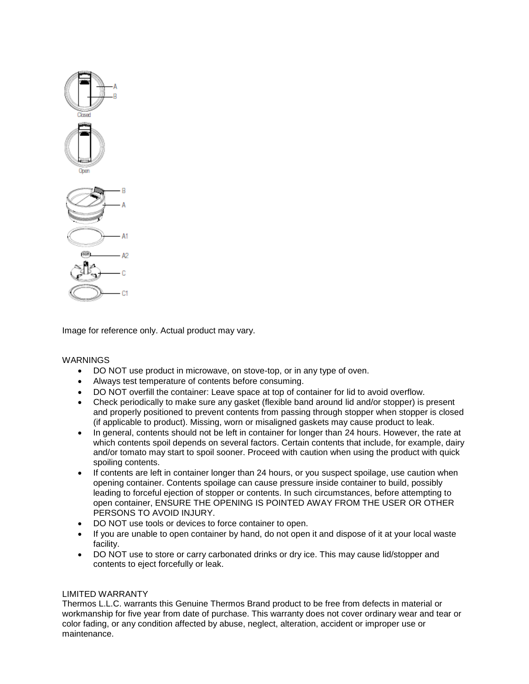

Image for reference only. Actual product may vary.

### WARNINGS

- DO NOT use product in microwave, on stove-top, or in any type of oven.
- Always test temperature of contents before consuming.
- DO NOT overfill the container: Leave space at top of container for lid to avoid overflow.
- Check periodically to make sure any gasket (flexible band around lid and/or stopper) is present and properly positioned to prevent contents from passing through stopper when stopper is closed (if applicable to product). Missing, worn or misaligned gaskets may cause product to leak.
- In general, contents should not be left in container for longer than 24 hours. However, the rate at which contents spoil depends on several factors. Certain contents that include, for example, dairy and/or tomato may start to spoil sooner. Proceed with caution when using the product with quick spoiling contents.
- If contents are left in container longer than 24 hours, or you suspect spoilage, use caution when opening container. Contents spoilage can cause pressure inside container to build, possibly leading to forceful ejection of stopper or contents. In such circumstances, before attempting to open container, ENSURE THE OPENING IS POINTED AWAY FROM THE USER OR OTHER PERSONS TO AVOID INJURY.
- DO NOT use tools or devices to force container to open.
- If you are unable to open container by hand, do not open it and dispose of it at your local waste facility.
- DO NOT use to store or carry carbonated drinks or dry ice. This may cause lid/stopper and contents to eject forcefully or leak.

### LIMITED WARRANTY

Thermos L.L.C. warrants this Genuine Thermos Brand product to be free from defects in material or workmanship for five year from date of purchase. This warranty does not cover ordinary wear and tear or color fading, or any condition affected by abuse, neglect, alteration, accident or improper use or maintenance.